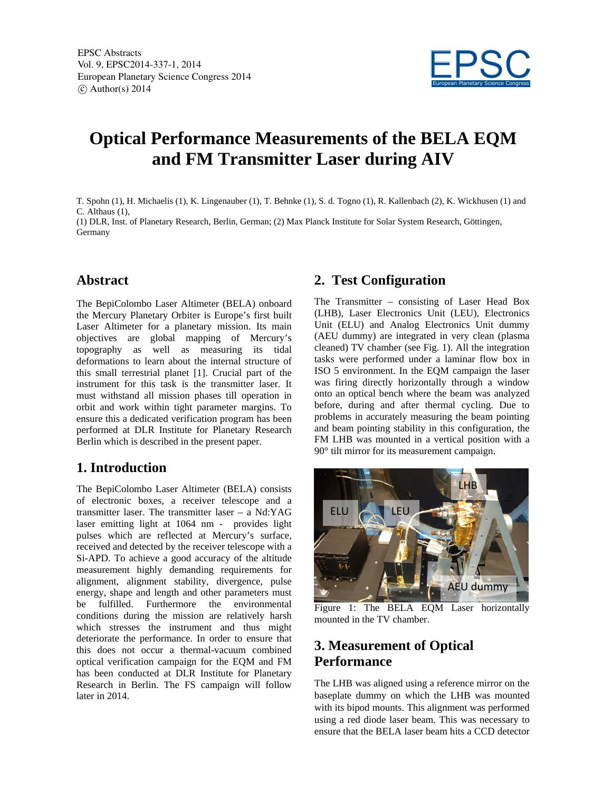

# **Optical Performance Measurements of the BELA EQM and FM Transmitter Laser during AIV**

T. Spohn (1), H. Michaelis (1), K. Lingenauber (1), T. Behnke (1), S. d. Togno (1), R. Kallenbach (2), K. Wickhusen (1) and C. Althaus (1),

(1) DLR, Inst. of Planetary Research, Berlin, German; (2) Max Planck Institute for Solar System Research, Göttingen, Germany

## **Abstract**

The BepiColombo Laser Altimeter (BELA) onboard the Mercury Planetary Orbiter is Europe's first built Laser Altimeter for a planetary mission. Its main objectives are global mapping of Mercury's topography as well as measuring its tidal deformations to learn about the internal structure of this small terrestrial planet [1]. Crucial part of the instrument for this task is the transmitter laser. It must withstand all mission phases till operation in orbit and work within tight parameter margins. To ensure this a dedicated verification program has been performed at DLR Institute for Planetary Research Berlin which is described in the present paper.

# **1. Introduction**

The BepiColombo Laser Altimeter (BELA) consists of electronic boxes, a receiver telescope and a transmitter laser. The transmitter laser – a Nd:YAG laser emitting light at 1064 nm - provides light pulses which are reflected at Mercury's surface, received and detected by the receiver telescope with a Si-APD. To achieve a good accuracy of the altitude measurement highly demanding requirements for alignment, alignment stability, divergence, pulse energy, shape and length and other parameters must be fulfilled. Furthermore the environmental conditions during the mission are relatively harsh which stresses the instrument and thus might deteriorate the performance. In order to ensure that this does not occur a thermal-vacuum combined optical verification campaign for the EQM and FM has been conducted at DLR Institute for Planetary Research in Berlin. The FS campaign will follow later in 2014.

## **2. Test Configuration**

The Transmitter – consisting of Laser Head Box (LHB), Laser Electronics Unit (LEU), Electronics Unit (ELU) and Analog Electronics Unit dummy (AEU dummy) are integrated in very clean (plasma cleaned) TV chamber (see Fig. 1). All the integration tasks were performed under a laminar flow box in ISO 5 environment. In the EQM campaign the laser was firing directly horizontally through a window onto an optical bench where the beam was analyzed before, during and after thermal cycling. Due to problems in accurately measuring the beam pointing and beam pointing stability in this configuration, the FM LHB was mounted in a vertical position with a 90° tilt mirror for its measurement campaign.



Figure 1: The BELA EQM Laser horizontally mounted in the TV chamber.

# **3. Measurement of Optical Performance**

The LHB was aligned using a reference mirror on the baseplate dummy on which the LHB was mounted with its bipod mounts. This alignment was performed using a red diode laser beam. This was necessary to ensure that the BELA laser beam hits a CCD detector